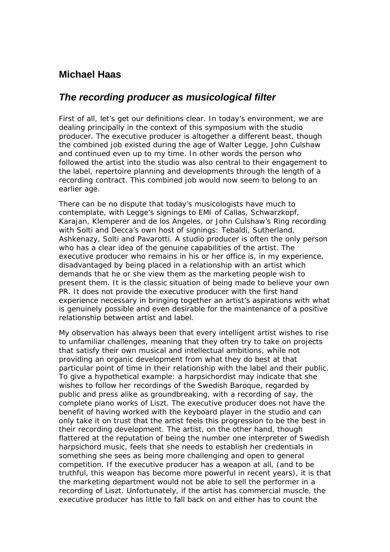## **Michael Haas**

## *The recording producer as musicological filter*

First of all, let's get our definitions clear. In today's environment, we are dealing principally in the context of this symposium with the studio producer. The executive producer is altogether a different beast, though the combined job existed during the age of Walter Legge, John Culshaw and continued even up to my time. In other words the person who followed the artist into the studio was also central to their engagement to the label, repertoire planning and developments through the length of a recording contract. This combined job would now seem to belong to an earlier age.

There can be no dispute that today's musicologists have much to contemplate, with Legge's signings to EMI of Callas, Schwarzkopf, Karajan, Klemperer and de los Angeles, or John Culshaw's Ring recording with Solti and Decca's own host of signings: Tebaldi, Sutherland, Ashkenazy, Solti and Pavarotti. A studio producer is often the only person who has a clear idea of the genuine capabilities of the artist. The executive producer who remains in his or her office is, in my experience, disadvantaged by being placed in a relationship with an artist which demands that he or she view them as the marketing people wish to present them. It is the classic situation of being made to believe your own PR. It does not provide the executive producer with the first hand experience necessary in bringing together an artist's aspirations with what is genuinely possible and even desirable for the maintenance of a positive relationship between artist and label.

My observation has always been that every intelligent artist wishes to rise to unfamiliar challenges, meaning that they often try to take on projects that satisfy their own musical and intellectual ambitions, while not providing an organic development from what they do best at that particular point of time in their relationship with the label and their public. To give a hypothetical example: a harpsichordist may indicate that she wishes to follow her recordings of the Swedish Baroque, regarded by public and press alike as groundbreaking, with a recording of say, the complete piano works of Liszt. The executive producer does not have the benefit of having worked with the keyboard player in the studio and can only take it on trust that the artist feels this progression to be the best in their recording development. The artist, on the other hand, though flattered at the reputation of being the number one interpreter of Swedish harpsichord music, feels that she needs to establish her credentials in something she sees as being more challenging and open to general competition. If the executive producer has a weapon at all, (and to be truthful, this weapon has become more powerful in recent years), it is that the marketing department would not be able to sell the performer in a recording of Liszt. Unfortunately, if the artist has commercial muscle, the executive producer has little to fall back on and either has to count the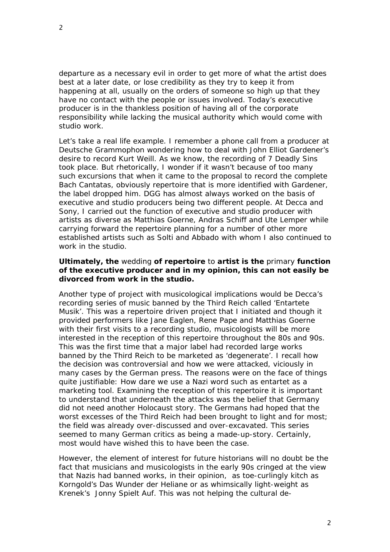departure as a necessary evil in order to get more of what the artist does best at a later date, or lose credibility as they try to keep it from happening at all, usually on the orders of someone so high up that they have no contact with the people or issues involved. Today's executive producer is in the thankless position of having all of the corporate responsibility while lacking the musical authority which would come with studio work.

Let's take a real life example. I remember a phone call from a producer at Deutsche Grammophon wondering how to deal with John Elliot Gardener's desire to record Kurt Weill. As we know, the recording of 7 Deadly Sins took place. But rhetorically, I wonder if it wasn't because of too many such excursions that when it came to the proposal to record the complete Bach Cantatas, obviously repertoire that is more identified with Gardener, the label dropped him. DGG has almost always worked on the basis of executive and studio producers being two different people. At Decca and Sony, I carried out the function of executive and studio producer with artists as diverse as Matthias Goerne, Andras Schiff and Ute Lemper while carrying forward the repertoire planning for a number of other more established artists such as Solti and Abbado with whom I also continued to work in the studio.

## **Ultimately, the** *wedding* **of repertoire** *to* **artist is the** *primary* **function of the executive producer and in my opinion, this can not easily be divorced from work in the studio.**

Another type of project with musicological implications would be Decca's recording series of music banned by the Third Reich called 'Entartete Musik'. This was a repertoire driven project that I initiated and though it provided performers like Jane Eaglen, Rene Pape and Matthias Goerne with their first visits to a recording studio, musicologists will be more interested in the reception of this repertoire throughout the 80s and 90s. This was the first time that a major label had recorded large works banned by the Third Reich to be marketed as 'degenerate'. I recall how the decision was controversial and how we were attacked, viciously in many cases by the German press. The reasons were on the face of things quite justifiable: How dare we use a Nazi word such as *entartet* as a marketing tool. Examining the reception of this repertoire it is important to understand that underneath the attacks was the belief that Germany did not need another Holocaust story. The Germans had hoped that the worst excesses of the Third Reich had been brought to light and for most; the field was already over-discussed and over-excavated. This series seemed to many German critics as being a made-up-story. Certainly, most would have wished this to have been the case.

However, the element of interest for future historians will no doubt be the fact that musicians and musicologists in the early 90s cringed at the view that Nazis had banned works, in their opinion, as toe-curlingly kitch as Korngold's *Das Wunder der Heliane* or as whimsically light-weight as Krenek's *Jonny Spielt Auf*. This was not helping the cultural de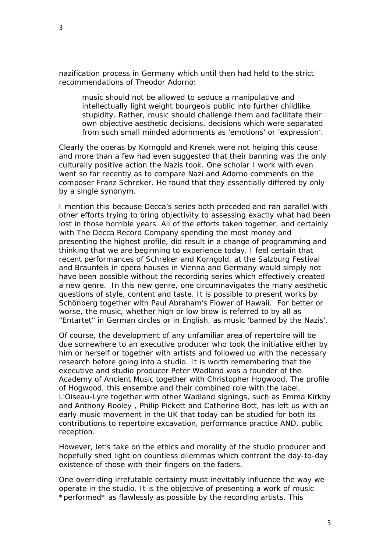nazification process in Germany which until then had held to the strict recommendations of Theodor Adorno:

music should not be allowed to seduce a manipulative and intellectually light weight bourgeois public into further childlike stupidity. Rather, music should challenge them and facilitate their own objective aesthetic decisions, decisions which were separated from such small minded adornments as 'emotions' or 'expression'.

Clearly the operas by Korngold and Krenek were not helping this cause and more than a few had even suggested that their banning was the only culturally positive action the Nazis took. One scholar I work with even went so far recently as to compare Nazi and Adorno comments on the composer Franz Schreker. He found that they essentially differed by only by a single synonym.

I mention this because Decca's series both preceded and ran parallel with other efforts trying to bring objectivity to assessing exactly what had been lost in those horrible years. All of the efforts taken together, and certainly with The Decca Record Company spending the most money and presenting the highest profile, did result in a change of programming and thinking that we are beginning to experience today. I feel certain that recent performances of Schreker and Korngold, at the Salzburg Festival and Braunfels in opera houses in Vienna and Germany would simply not have been possible without the recording series which effectively created a new genre. In this new genre, one circumnavigates the many aesthetic questions of style, content and taste. It is possible to present works by Schönberg together with Paul Abraham's *Flower of Hawaii.* For better or worse, the music, whether high or low brow is referred to by all as "Entartet" in German circles or in English, as music 'banned by the Nazis'.

Of course, the development of any unfamiliar area of repertoire will be due somewhere to an executive producer who took the initiative either by him or herself or together with artists and followed up with the necessary research before going into a studio. It is worth remembering that the executive and studio producer Peter Wadland was a founder of the Academy of Ancient Music *together* with Christopher Hogwood. The profile of Hogwood, this ensemble and their combined role with the label, *L'Oiseau-Lyre* together with other Wadland signings, such as Emma Kirkby and Anthony Rooley , Philip Pickett and Catherine Bott, has left us with an early music movement in the UK that today can be studied for both its contributions to repertoire excavation, performance practice AND, public reception.

However, let's take on the ethics and morality of the studio producer and hopefully shed light on countless dilemmas which confront the day-to-day existence of those with their fingers on the faders.

One overriding irrefutable certainty must inevitably influence the way we operate in the studio. It is the objective of presenting a work of music \**performed*\* as flawlessly as possible by the recording artists. This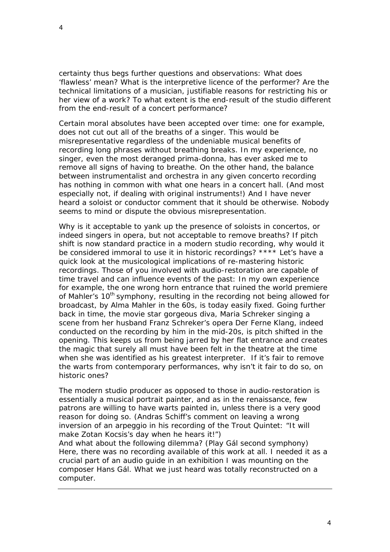4

certainty thus begs further questions and observations: What does 'flawless' mean? What is the interpretive licence of the performer? Are the technical limitations of a musician, justifiable reasons for restricting his or her view of a work? To what extent is the end-result of the studio different from the end-result of a concert performance?

Certain moral absolutes have been accepted over time: one for example, does not cut out all of the breaths of a singer. This would be misrepresentative regardless of the undeniable musical benefits of recording long phrases without breathing breaks. In my experience, no singer, even the most deranged prima-donna, has ever asked me to remove all signs of having to breathe. On the other hand, the balance between instrumentalist and orchestra in any given concerto recording has nothing in common with what one hears in a concert hall. (And most especially not, if dealing with original instruments!) And I have never heard a soloist or conductor comment that it should be otherwise. Nobody seems to mind or dispute the obvious misrepresentation.

Why is it acceptable to yank up the presence of soloists in concertos, or indeed singers in opera, but not acceptable to remove breaths? If pitch shift is now standard practice in a modern studio recording, why would it be considered immoral to use it in historic recordings? \*\*\*\* Let's have a quick look at the musicological implications of re-mastering historic recordings. Those of you involved with audio-restoration are capable of time travel and can influence events of the past: In my own experience for example, the one wrong horn entrance that ruined the world premiere of Mahler's 10<sup>th</sup> symphony, resulting in the recording not being allowed for broadcast, by Alma Mahler in the 60s, is today easily fixed. Going further back in time, the movie star gorgeous diva, Maria Schreker singing a scene from her husband Franz Schreker's opera *Der Ferne Klang*, indeed conducted on the recording by him in the mid-20s, is pitch shifted in the opening. This keeps us from being jarred by her flat entrance and creates the magic that surely all must have been felt in the theatre at the time when she was identified as his greatest interpreter. If it's fair to remove the warts from contemporary performances, why isn't it fair to do so, on historic ones?

The modern studio producer as opposed to those in audio-restoration is essentially a musical portrait painter, and as in the renaissance, few patrons are willing to have warts painted in, unless there is a very good reason for doing so. (Andras Schiff's comment on leaving a wrong inversion of an arpeggio in his recording of the Trout Quintet: "It will make Zotan Kocsis's day when he hears it!")

And what about the following dilemma? (Play Gál second symphony) Here, there was no recording available of this work at all. I needed it as a crucial part of an audio guide in an exhibition I was mounting on the composer Hans Gál. What we just heard was totally reconstructed on a computer.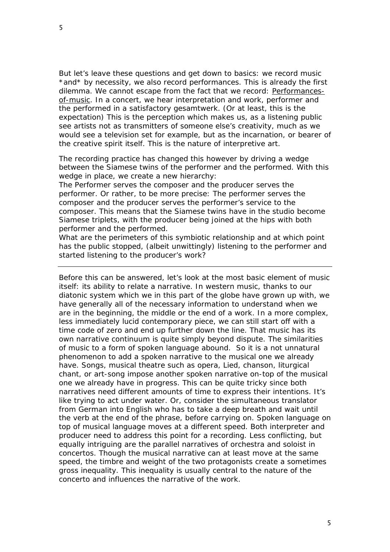But let's leave these questions and get down to basics: we record music \*and\* by necessity, we *also* record performances. This is already the first dilemma. We cannot escape from the fact that we record: Performancesof-music. In a concert, we hear interpretation and work, performer and the performed in a satisfactory *gesamtwerk*. (Or at least, this is the expectation) This is the perception which makes us, as a listening public see artists not as transmitters of someone else's creativity, much as we would see a television set for example, but as the incarnation, or bearer of the creative spirit itself. This is the nature of interpretive art.

The recording practice has changed this however by driving a wedge between the Siamese twins of the performer and the performed. With this wedge in place, we create a new hierarchy:

The Performer serves the composer and the producer serves the performer. Or rather, to be more precise: The performer serves the composer and the producer serves the performer's *service* to the composer. This means that the Siamese twins have in the studio become Siamese triplets, with the producer being joined at the hips with both performer and the performed.

What are the perimeters of this symbiotic relationship and at which point has the public stopped, (albeit unwittingly) listening to the performer and started listening to the producer's work?

Before this can be answered, let's look at the most basic element of music itself: its ability to relate a *narrative*. In western music, thanks to our diatonic system which we in this part of the globe have grown up with, we have generally all of the necessary information to understand when we are in the beginning, the middle or the end of a work. In a more complex, less immediately lucid contemporary piece, we can still start off with a time code of zero and end up further down the line. That music has its own narrative continuum is quite simply beyond dispute. The similarities of music to a form of spoken language abound. So it is a not unnatural phenomenon to add a spoken narrative to the musical one we already have. Songs, musical theatre such as opera, Lied, chanson, liturgical chant, or art-song impose another spoken narrative on-top of the musical one we already have in progress. This can be quite tricky since both narratives need different amounts of time to express their intentions. It's like trying to act under water. Or, consider the simultaneous translator from German into English who has to take a deep breath and wait until the verb at the end of the phrase, before carrying on. Spoken language on top of musical language moves at a different speed. Both interpreter and producer need to address this point for a recording. Less conflicting, but equally intriguing are the parallel narratives of orchestra and soloist in concertos. Though the musical narrative can at least move at the same speed, the timbre and weight of the two protagonists create a sometimes gross inequality. This inequality is usually central to the nature of the concerto and influences the narrative of the work.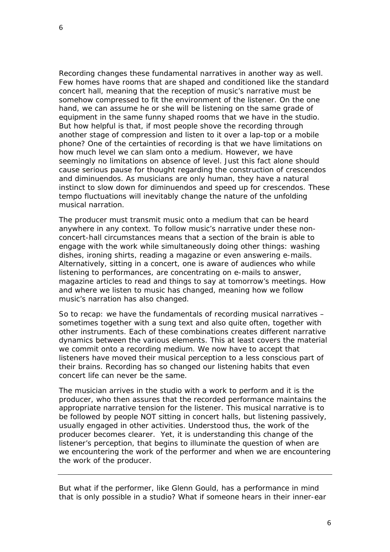Recording changes these fundamental narratives in another way as well. Few homes have rooms that are shaped and conditioned like the standard concert hall, meaning that the reception of music's narrative must be somehow compressed to fit the environment of the listener. On the one hand, we can assume he or she will be listening on the same grade of equipment in the same funny shaped rooms that we have in the studio. But how helpful is that, if most people shove the recording through another stage of compression and listen to it over a lap-top or a mobile phone? One of the certainties of recording is that we have limitations on how much level we can slam onto a medium. However, we have seemingly no limitations on absence of level. Just this fact alone should cause serious pause for thought regarding the construction of crescendos and diminuendos. As musicians are only human, they have a natural instinct to slow down for diminuendos and speed up for crescendos. These tempo fluctuations will inevitably change the nature of the unfolding musical narration.

The producer must transmit music onto a medium that can be heard anywhere in any context. To follow music's narrative under these nonconcert-hall circumstances means that a section of the brain is able to engage with the work while simultaneously doing other things: washing dishes, ironing shirts, reading a magazine or even answering e-mails. Alternatively, sitting in a concert, one is aware of audiences who while listening to performances, are concentrating on e-mails to answer, magazine articles to read and things to say at tomorrow's meetings. How and where we listen to music has changed, meaning how we follow music's narration has also changed.

So to recap: we have the fundamentals of recording musical narratives – sometimes together with a sung text and also quite often, together with other instruments. Each of these combinations creates different narrative dynamics between the various elements. This at least covers the material we commit onto a recording medium. We now have to accept that listeners have moved their musical perception to a less conscious part of their brains. Recording has so changed our listening habits that even concert life can never be the same.

The musician arrives in the studio with a work to perform and it is the producer, who then assures that the *recorded* performance maintains the appropriate narrative tension for the listener. This musical narrative is to be followed by people NOT sitting in concert halls, but listening passively, usually engaged in other activities. Understood thus, the work of the producer becomes clearer. Yet, it is understanding this change of the listener's perception, that begins to illuminate the question of when are we encountering the work of the performer and when we are encountering the work of the producer.

But what if the performer, like Glenn Gould, has a performance in mind that is only possible in a studio? What if someone hears in their inner-ear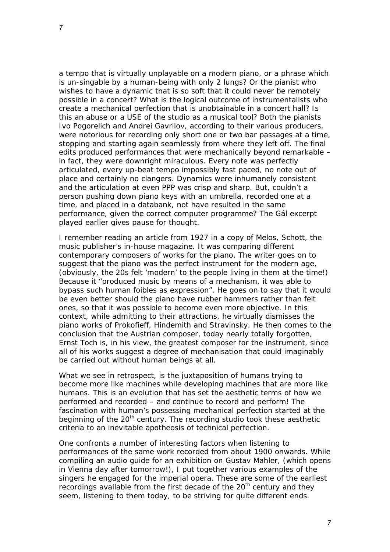a tempo that is virtually unplayable on a modern piano, or a phrase which is un-singable by a human-being with only 2 lungs? Or the pianist who wishes to have a dynamic that is so soft that it could never be remotely possible in a concert? What is the logical outcome of instrumentalists who create a mechanical perfection that is unobtainable in a concert hall? Is this an abuse or a USE of the studio as a musical tool? Both the pianists Ivo Pogorelich and Andrei Gavrilov, according to their various producers, were notorious for recording only short one or two bar passages at a time, stopping and starting again seamlessly from where they left off. The final edits produced performances that were mechanically beyond remarkable – in fact, they were downright miraculous. Every note was perfectly articulated, every up-beat tempo impossibly fast paced, no note out of place and certainly no clangers. Dynamics were inhumanely consistent and the articulation at even PPP was crisp and sharp. But, couldn't a person pushing down piano keys with an umbrella, recorded one at a time, and placed in a databank, not have resulted in the same performance, given the correct computer programme? The Gál excerpt played earlier gives pause for thought.

I remember reading an article from 1927 in a copy of Melos, Schott, the music publisher's in-house magazine. It was comparing different contemporary composers of works for the piano. The writer goes on to suggest that the piano was the perfect instrument for the modern age, (obviously, the 20s felt 'modern' to the people living in them at the time!) Because it "produced music by means of a mechanism, it was able to bypass such human foibles as expression". He goes on to say that it would be even better should the piano have rubber hammers rather than felt ones, so that it was possible to become even more objective. In this context, while admitting to their attractions, he virtually dismisses the piano works of Prokofieff, Hindemith and Stravinsky. He then comes to the conclusion that the Austrian composer, today nearly totally forgotten, Ernst Toch is, in his view, the greatest composer for the instrument, since all of his works suggest a degree of mechanisation that could imaginably be carried out without human beings at all.

What we see in retrospect, is the juxtaposition of humans trying to become more like machines while developing machines that are more like humans. This is an evolution that has set the aesthetic terms of how we performed and recorded – and continue to record and perform! The fascination with human's possessing mechanical perfection started at the beginning of the  $20<sup>th</sup>$  century. The recording studio took these aesthetic criteria to an inevitable apotheosis of technical perfection.

One confronts a number of interesting factors when listening to performances of the same work recorded from about 1900 onwards. While compiling an audio guide for an exhibition on Gustav Mahler, (which opens in Vienna day after tomorrow!), I put together various examples of the singers he engaged for the imperial opera. These are some of the earliest recordings available from the first decade of the 20<sup>th</sup> century and they seem, listening to them today, to be striving for quite different ends.